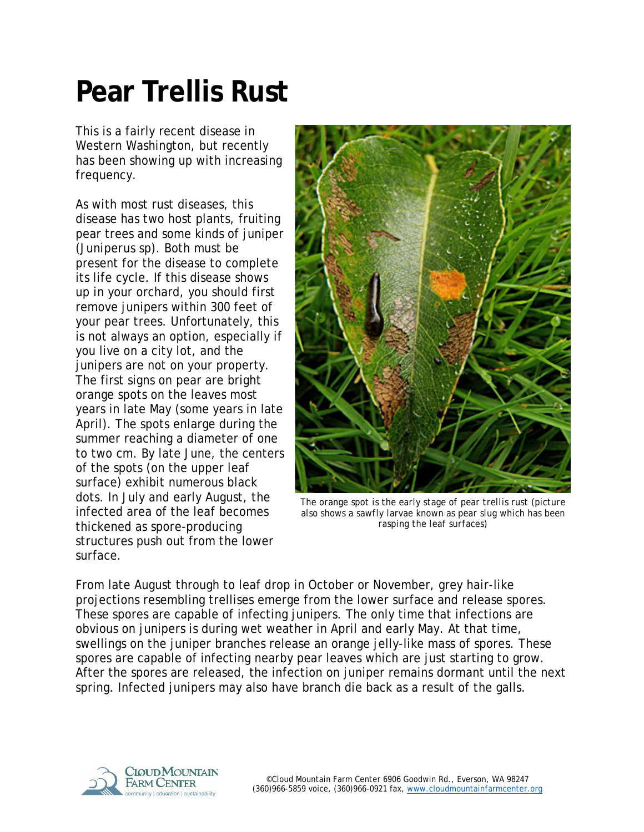## **Pear Trellis Rust**

This is a fairly recent disease in Western Washington, but recently has been showing up with increasing frequency.

As with most rust diseases, this disease has two host plants, fruiting pear trees and some kinds of juniper (*Juniperus sp*). Both must be present for the disease to complete its life cycle. If this disease shows up in your orchard, you should first remove junipers within 300 feet of your pear trees. Unfortunately, this is not always an option, especially if you live on a city lot, and the junipers are not on your property. The first signs on pear are bright orange spots on the leaves most years in late May (some years in late April). The spots enlarge during the summer reaching a diameter of one to two cm. By late June, the centers of the spots (on the upper leaf surface) exhibit numerous black dots. In July and early August, the infected area of the leaf becomes thickened as spore-producing structures push out from the lower surface.



*The orange spot is the early stage of pear trellis rust (picture also shows a sawfly larvae known as pear slug which has been rasping the leaf surfaces)*

From late August through to leaf drop in October or November, grey hair-like projections resembling trellises emerge from the lower surface and release spores. These spores are capable of infecting junipers. The only time that infections are obvious on junipers is during wet weather in April and early May. At that time, swellings on the juniper branches release an orange jelly-like mass of spores. These spores are capable of infecting nearby pear leaves which are just starting to grow. After the spores are released, the infection on juniper remains dormant until the next spring. Infected junipers may also have branch die back as a result of the galls.